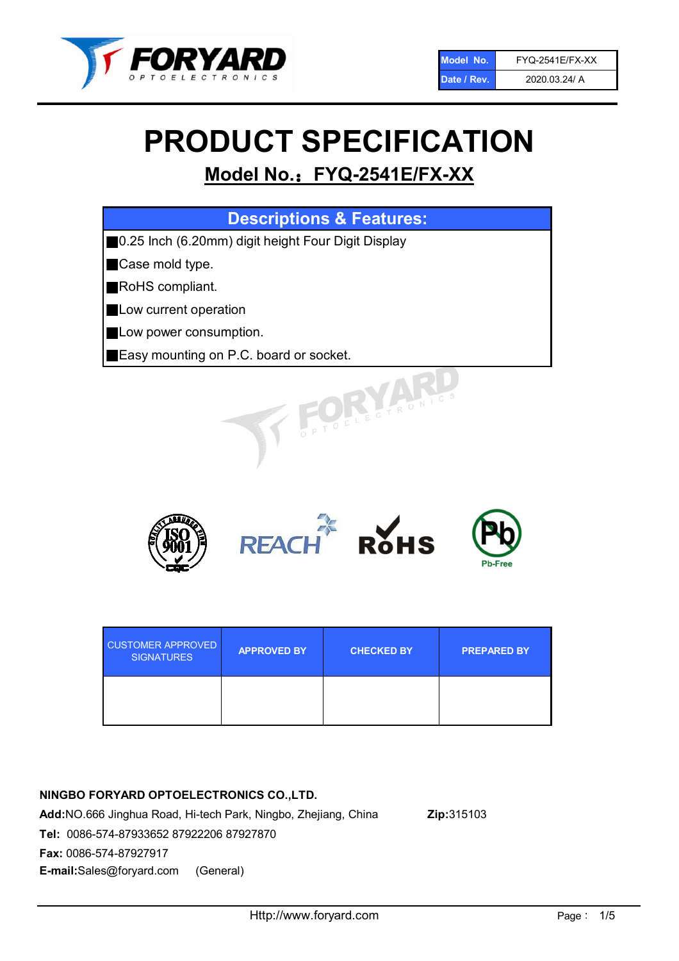

# PRODUCT SPECIFICATION

# Model No.: FYQ-2541E/FX-XX

| <b>Descriptions &amp; Features:</b>                |
|----------------------------------------------------|
| 0.25 Inch (6.20mm) digit height Four Digit Display |
| Case mold type.                                    |
| RoHS compliant.                                    |
| Low current operation                              |
| Low power consumption.                             |
| Easy mounting on P.C. board or socket.             |
| TOELECTRONICS                                      |



| <b>CUSTOMER APPROVED</b><br><b>SIGNATURES</b> | <b>APPROVED BY</b> | <b>CHECKED BY</b> | <b>PREPARED BY</b> |
|-----------------------------------------------|--------------------|-------------------|--------------------|
|                                               |                    |                   |                    |

# NINGBO FORYARD OPTOELECTRONICS CO.,LTD.

Add:NO.666 Jinghua Road, Hi-tech Park, Ningbo, Zhejiang, China Zip:315103 Tel: 0086-574-87933652 87922206 87927870 Fax: 0086-574-87927917 E-mail:Sales@foryard.com (General)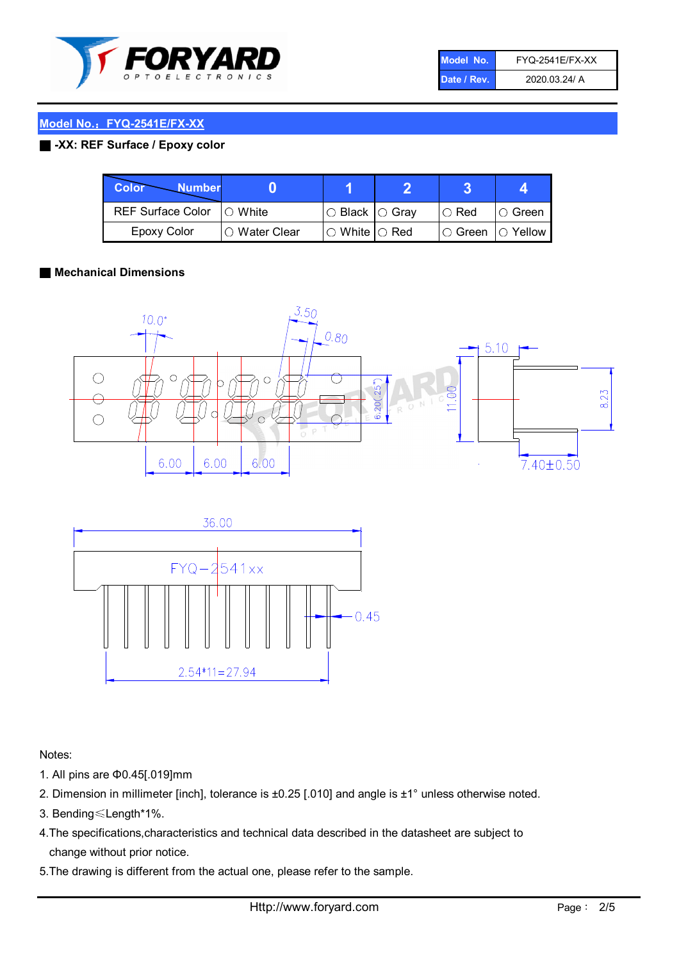

| Model No.   | <b>FYQ-2541E/FX-XX</b> |
|-------------|------------------------|
| Date / Rev. | 2020.03.24/ A          |

#### ■ -XX: REF Surface / Epoxy color

| Color<br><b>Number</b>      |                        |                           |             |                |
|-----------------------------|------------------------|---------------------------|-------------|----------------|
| REF Surface Color   O White |                        | I○ Black  ○ Gray          | $\circ$ Red | IO Green       |
| Epoxy Color                 | $\bigcirc$ Water Clear | $\circ$ White $\circ$ Red | IO Green    | $\circ$ Yellow |

#### ■ Mechanical Dimensions





Notes:

- 1. All pins are Φ0.45[.019]mm
- 2. Dimension in millimeter [inch], tolerance is ±0.25 [.010] and angle is ±1° unless otherwise noted.
- 3. Bending≤Length\*1%.
- 4.The specifications,characteristics and technical data described in the datasheet are subject to change without prior notice.
- 5.The drawing is different from the actual one, please refer to the sample.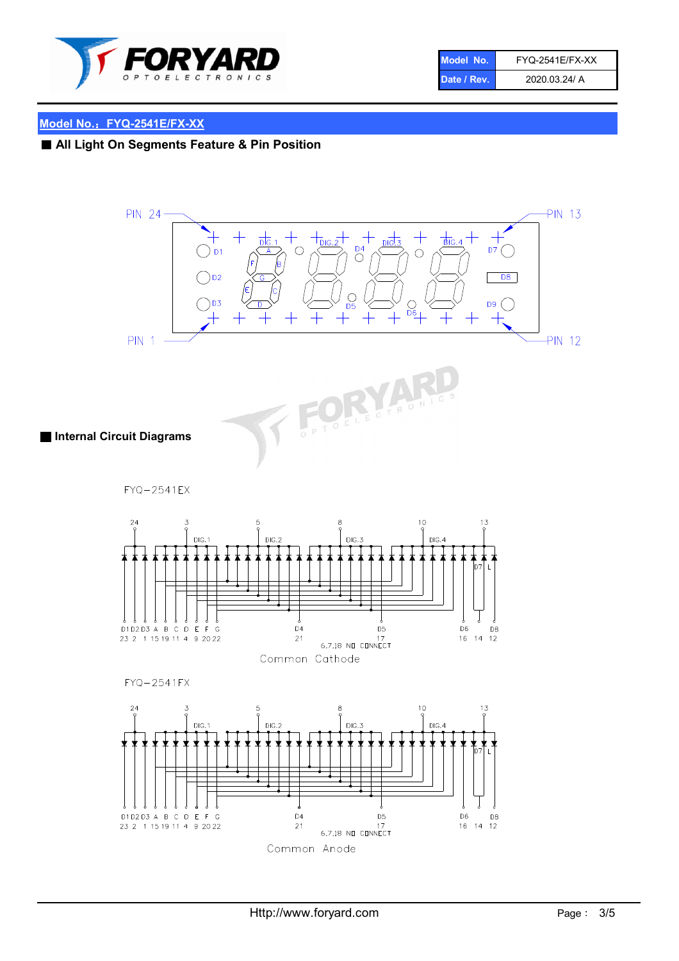

| Model No.   | <b>FYQ-2541E/FX-XX</b> |
|-------------|------------------------|
| Date / Rev. | 2020.03.24/ A          |

# ■ All Light On Segments Feature & Pin Position

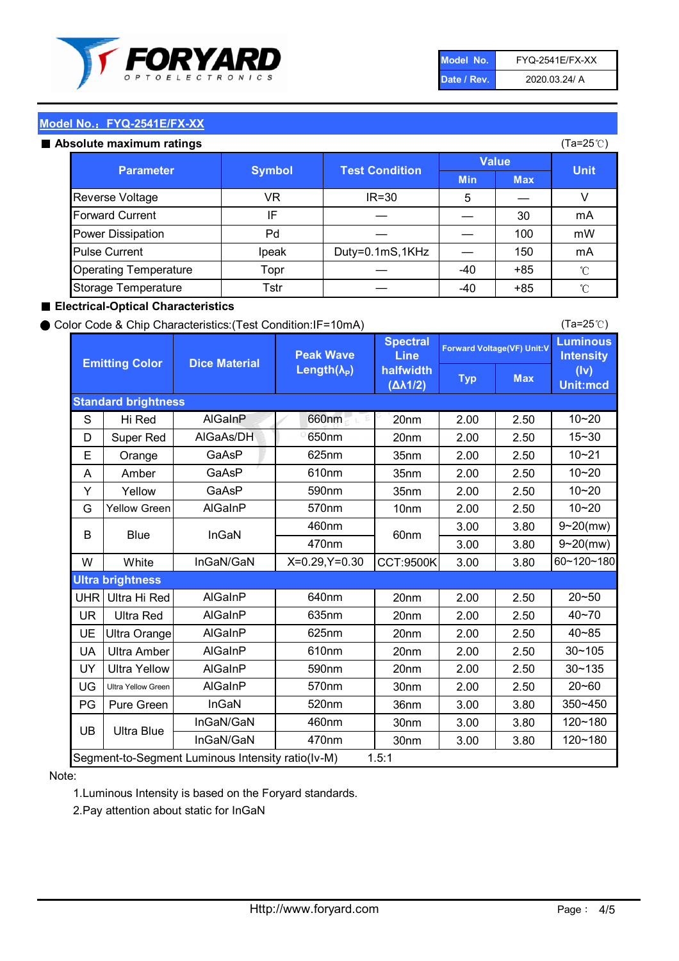

| Model No.   | <b>FYQ-2541E/FX-XX</b> |
|-------------|------------------------|
| Date / Rev. | 2020.03.24/ A          |

#### Absolute maximum

| ISUIULU IIIAAIIIIUIIII TALIIIYS |               |                       |              | (⊺a−∠J ∪ <i>)</i> |              |
|---------------------------------|---------------|-----------------------|--------------|-------------------|--------------|
| <b>Parameter</b>                | <b>Symbol</b> | <b>Test Condition</b> | <b>Value</b> |                   | <b>Unit</b>  |
|                                 |               |                       | <b>Min</b>   | <b>Max</b>        |              |
| Reverse Voltage                 | VR            | $IR = 30$             | 5            |                   |              |
| <b>Forward Current</b>          | ΙF            |                       |              | 30                | mA           |
| Power Dissipation               | Pd            |                       |              | 100               | mW           |
| <b>Pulse Current</b>            | Ipeak         | Duty=0.1mS,1KHz       |              | 150               | mA           |
| <b>Operating Temperature</b>    | Topr          |                       | $-40$        | $+85$             | $^{\circ}$ C |
| Storage Temperature             | Tstr          |                       | $-40$        | $+85$             | °C           |

#### ■ Electrical-Optical Characteristics

#### ● Color Code & Chip Characteristics:(Test Condition:IF=10mA)

Typ Max S | Hi $\textsf{Red}$  | AlGaInP | 660nm LE 20nm | 2.00 | 2.50 D | Super Red | AIGaAs/DH | 650nm | 20nm | 2.00 | 2.50 E | Orange | GaAsP | 625nm | 35nm | 2.00 | 2.50 A | Amber | GaAsP | 610nm | 35nm | 2.00 | 2.50 Y | Yellow | GaAsP | 590nm | 35nm | 2.00 | 2.50 G Yellow Green AIGaInP | 570nm | 10nm | 2.00 | 2.50 3.00 3.80 3.00 3.80 W | White | InGaN/GaN | X=0.29,Y=0.30 |CCT:9500K| 3.00 | 3.80 UHR Ultra Hi Red  $\vert$  AIGaInP  $\vert$  640nm  $\vert$  20nm  $\vert$  2.00  $\vert$  2.50 UR | Ultra Red | AlGaInP | 635nm | 20nm | 2.00 | 2.50 UE Ultra Orange | AIGaInP | 625nm | 20nm | 2.00 | 2.50 UA Ultra Amber | AIGaInP | 610nm | 20nm | 2.00 | 2.50  $UV$  Ultra Yellow  $\vert$  AlGaInP  $\vert$  590nm  $\vert$  20nm  $\vert$  2.00  $\vert$  2.50  $\text{UG}$  Ultra Yellow Green | AIGaInP | 570nm | 30nm | 2.00 | 2.50 PG | Pure Green | InGaN | 520nm | 36nm | 3.00 | 3.80 30nm 3.00 3.80 30nm 3.00 3.80 10~20 Standard brightness Forward Voltage(VF) Unit:V 15~30 10~20 10~20 625nm GaAsP 590nm **Emitting Color Dice Material** 10~21 610nm Luminous **Intensity** (Iv) Unit:mcd AlGainP 660nm GaAsP GaAsP AlGaAs/DH **Spectral** Line halfwidth (∆λ1/2) Peak Wave Length $(\lambda_{\rm P})$ UB 460nm 635nm AlGaInP AlGaInP AlGaInP InGaN/GaN AlGaInP | 570nm | 10nm | 2.00 | 2.50 | 10~20 30~105 30~135 460nm 520nm Ultra brightness **AlGaInP** AlGaInP 60nm AlGaInP 640nm Segment-to-Segment Luminous Intensity ratio(Iv-M) 1.5:1 610nm 9~20(mw) 350~450 470nm 120~180 120~180 Ultra Blue InGaN/GaN 9~20(mw) 20~50 570nm | 30nm | 2.00 | 2.50 | 20~60 470nm 590nm InGaN/GaN B Blue I InGaN 40~85 60~120~180 40~70

#### Note:

1.Luminous Intensity is based on the Foryard standards.

2.Pay attention about static for InGaN

(Ta=25℃)

(Ta=25℃)